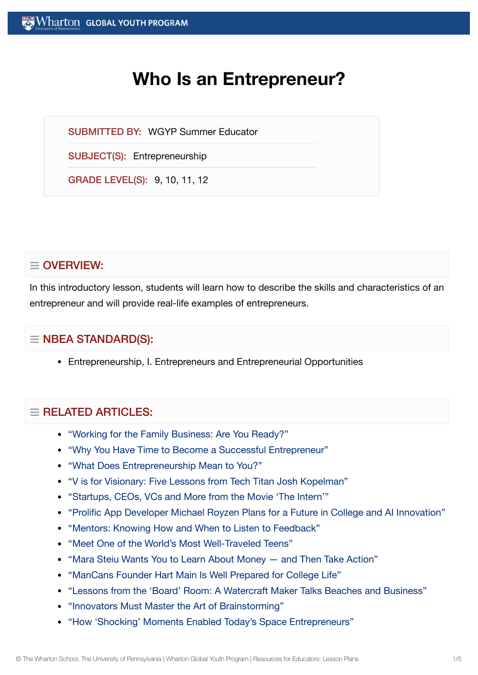# **Who Is an Entrepreneur?**

SUBMITTED BY: WGYP Summer Educator

SUBJECT(S): Entrepreneurship

GRADE LEVEL(S): 9, 10, 11, 12

# $\equiv$  OVERVIEW:

In this introductory lesson, students will learn how to describe the skills and characteristics of an entrepreneur and will provide real-life examples of entrepreneurs.

# $\equiv$  NBEA STANDARD(S):

Entrepreneurship, I. Entrepreneurs and Entrepreneurial Opportunities

# $=$  RFI ATED ARTICLES:

- "Working for the [Family Business:](https://globalyouth.wharton.upenn.edu/articles/working-for-the-family-business/) Are You Ready?"
- "Why You Have Time to Become a Successful [Entrepreneur"](https://globalyouth.wharton.upenn.edu/articles/time-become-successful-entrepreneur/)
- "What [Does Entrepreneurship](https://globalyouth.wharton.upenn.edu/articles/entrepreneurship-means-to-you/) Mean to You?"
- "V is for Visionary: Five [Lessons from](https://globalyouth.wharton.upenn.edu/articles/v-is-for-visionary-five-lessons-from-tech-titan-josh-kopelman/) Tech Titan Josh Kopelman"
- ["Startups,](https://globalyouth.wharton.upenn.edu/articles/what-the-movie-the-intern-teaches-us-about-business/) CEOs, VCs and More from the Movie 'The Intern'"
- "Prolific App Developer Michael Royzen Plans for a Future in College and AI [Innovation"](https://globalyouth.wharton.upenn.edu/articles/prolific-app-developer-michael-royzen-plans-for-a-future-in-college-and-ai-innovation/)
- "Mentors: Knowing How and When to Listen to [Feedback"](https://globalyouth.wharton.upenn.edu/articles/mentors-knowing-listen-feedback-advice/)
- "Meet One of the World's Most [Well-Traveled](https://globalyouth.wharton.upenn.edu/articles/meet-one-of-the-worlds-most-well-traveled-teens/) Teens"
- "Mara Steiu Wants You to Learn About [Money and](https://globalyouth.wharton.upenn.edu/articles/learn_about_money/) Then Take Action"
- ["ManCans Founder](https://globalyouth.wharton.upenn.edu/articles/hart-main-is-prepared-for-college-life/) Hart Main Is Well Prepared for College Life"
- "Lessons from the 'Board' Room: A Watercraft Maker [Talks Beaches and](https://globalyouth.wharton.upenn.edu/articles/lessons-from-the-board-room-a-watercraft-maker-talks-beaches-and-business/) Business"
- ["Innovators Must](https://globalyouth.wharton.upenn.edu/articles/innovators-must-master-the-art-of-brainstorming/) Master the Art of Brainstorming"
- "How 'Shocking' [Moments Enabled](https://globalyouth.wharton.upenn.edu/articles/shocking-moments-enabled-todays-entrepreneurs/) Today's Space Entrepreneurs"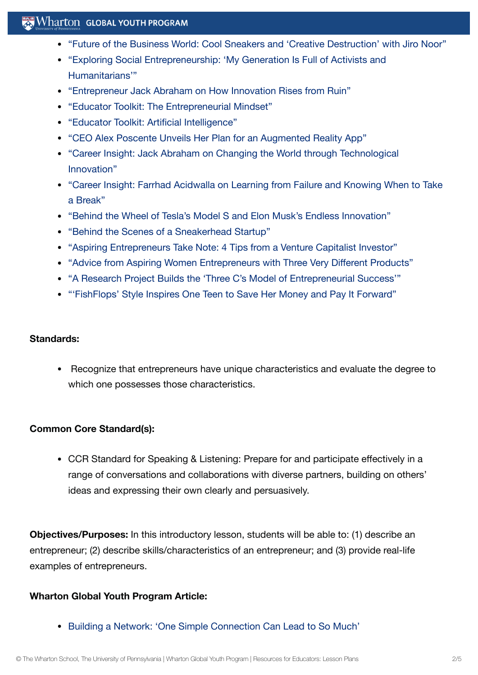## $\mathbb{R}$  Wharton Global Youth Program

- "Future of the [Business World:](https://globalyouth.wharton.upenn.edu/articles/cool-sneakers-creative-destruction-with-jiro-noor/) Cool Sneakers and 'Creative Destruction' with Jiro Noor"
- "Exploring Social [Entrepreneurship:](https://globalyouth.wharton.upenn.edu/articles/power-social-entrepreneurship/) 'My Generation Is Full of Activists and Humanitarians'"
- ["Entrepreneur](https://globalyouth.wharton.upenn.edu/articles/jack-abraham-innovation-rises-ruin/) Jack Abraham on How Innovation Rises from Ruin"
- "Educator Toolkit: The [Entrepreneurial](https://globalyouth.wharton.upenn.edu/articles/educator-toolkit-entrepreneurial-mindset/) Mindset"
- "Educator Toolkit: Artificial [Intelligence"](https://globalyouth.wharton.upenn.edu/articles/february-2018-educator-toolkit-artificial-intelligence/)
- "CEO Alex Poscente Unveils Her Plan for an Augmented [Reality App"](https://globalyouth.wharton.upenn.edu/articles/ceo-alex-poscente-unveils-her-plan-for-an-augmented-reality-app/)
- "Career Insight: Jack Abraham on Changing the World through [Technological](https://globalyouth.wharton.upenn.edu/articles/jack-abraham-on-technological-innovation/) Innovation"
- "Career Insight: Farrhad [Acidwalla](https://globalyouth.wharton.upenn.edu/articles/career-insight-farrhad-acidwalla-learning-failure-knowing-take-break/) on Learning from Failure and Knowing When to Take a Break"
- "Behind the Wheel of Tesla's Model S and Elon [Musk's Endless Innovation"](https://globalyouth.wharton.upenn.edu/articles/behind-wheel-teslas-model-s-elon-musks-endless-innovation/)
- "Behind the Scenes of a [Sneakerhead](https://globalyouth.wharton.upenn.edu/articles/behind-scenes-sneakerhead-startup/) Startup"
- "Aspiring [Entrepreneurs Take](https://globalyouth.wharton.upenn.edu/articles/aspiring-entrepreneurs-take-note-4-tips-venture-capitalist-investor/) Note: 4 Tips from a Venture Capitalist Investor"
- "Advice from Aspiring Women [Entrepreneurs with](https://globalyouth.wharton.upenn.edu/articles/advice-aspiring-women-entrepreneurs/) Three Very Different Products"
- "A Research Project Builds the 'Three C's Model of [Entrepreneurial](https://globalyouth.wharton.upenn.edu/articles/three-cs-model-entrepreneurial-success/) Success'"
- "'FishFlops' Style [Inspires One](https://globalyouth.wharton.upenn.edu/articles/fishflops-style-inspires-one-teen-to-save-her-money-and-pay-it-forward/) Teen to Save Her Money and Pay It Forward"

#### **Standards:**

Recognize that entrepreneurs have unique characteristics and evaluate the degree to which one possesses those characteristics.

#### **Common Core Standard(s):**

CCR Standard for Speaking & Listening: Prepare for and participate effectively in a range of conversations and collaborations with diverse partners, building on others' ideas and expressing their own clearly and persuasively.

**Objectives/Purposes:** In this introductory lesson, students will be able to: (1) describe an entrepreneur; (2) describe skills/characteristics of an entrepreneur; and (3) provide real-life examples of entrepreneurs.

#### **Wharton Global Youth Program Article:**

• Building a Network: 'One Simple [Connection](https://globalyouth.wharton.upenn.edu/articles/building-network-one-simple-connection-can-lead-much/) Can Lead to So Much'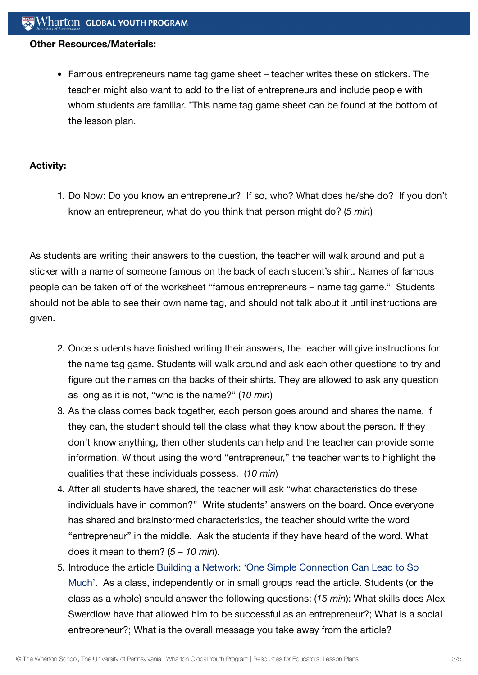#### **Other Resources/Materials:**

Famous entrepreneurs name tag game sheet – teacher writes these on stickers. The teacher might also want to add to the list of entrepreneurs and include people with whom students are familiar. \*This name tag game sheet can be found at the bottom of the lesson plan.

#### **Activity:**

1. Do Now: Do you know an entrepreneur? If so, who? What does he/she do? If you don't know an entrepreneur, what do you think that person might do? (*5 min*)

As students are writing their answers to the question, the teacher will walk around and put a sticker with a name of someone famous on the back of each student's shirt. Names of famous people can be taken off of the worksheet "famous entrepreneurs – name tag game." Students should not be able to see their own name tag, and should not talk about it until instructions are given.

- 2. Once students have finished writing their answers, the teacher will give instructions for the name tag game. Students will walk around and ask each other questions to try and figure out the names on the backs of their shirts. They are allowed to ask any question as long as it is not, "who is the name?" (*10 min*)
- 3. As the class comes back together, each person goes around and shares the name. If they can, the student should tell the class what they know about the person. If they don't know anything, then other students can help and the teacher can provide some information. Without using the word "entrepreneur," the teacher wants to highlight the qualities that these individuals possess. (*10 min*)
- 4. After all students have shared, the teacher will ask "what characteristics do these individuals have in common?" Write students' answers on the board. Once everyone has shared and brainstormed characteristics, the teacher should write the word "entrepreneur" in the middle. Ask the students if they have heard of the word. What does it mean to them? (*5 – 10 min*).
- 5. Introduce the article Building a Network: 'One Simple Connection Can Lead to So Much'. As a class, [independently or](https://globalyouth.wharton.upenn.edu/articles/building-network-one-simple-connection-can-lead-much/) in small groups read the article. Students (or the class as a whole) should answer the following questions: (*15 min*): What skills does Alex Swerdlow have that allowed him to be successful as an entrepreneur?; What is a social entrepreneur?; What is the overall message you take away from the article?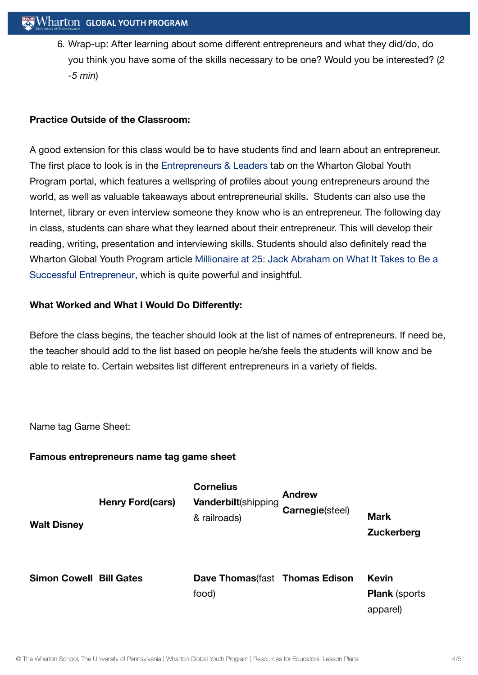6. Wrap-up: After learning about some different entrepreneurs and what they did/do, do you think you have some of the skills necessary to be one? Would you be interested? (*2 -5 min*)

## **Practice Outside of the Classroom:**

A good extension for this class would be to have students find and learn about an entrepreneur. The first place to look is in the [Entrepreneurs &](http://kwhs.wharton.upenn.edu/category/entrepreneurs-and-leaders/) Leaders tab on the Wharton Global Youth Program portal, which features a wellspring of profiles about young entrepreneurs around the world, as well as valuable takeaways about entrepreneurial skills. Students can also use the Internet, library or even interview someone they know who is an entrepreneur. The following day in class, students can share what they learned about their entrepreneur. This will develop their reading, writing, presentation and interviewing skills. Students should also definitely read the Wharton Global Youth Program article Millionaire at 25: Jack Abraham on What It Takes to Be a Successful [Entrepreneur,](https://globalyouth.wharton.upenn.edu/articles/millionaire-at-25-jack-abraham-on-what-it-takes-to-be-a-successful-entrepreneur/) which is quite powerful and insightful.

## **What Worked and What I Would Do Differently:**

Before the class begins, the teacher should look at the list of names of entrepreneurs. If need be, the teacher should add to the list based on people he/she feels the students will know and be able to relate to. Certain websites list different entrepreneurs in a variety of fields.

Name tag Game Sheet:

### **Famous entrepreneurs name tag game sheet**

| <b>Walt Disney</b>             | <b>Henry Ford(cars)</b> | <b>Cornelius</b><br>Vanderbilt(shipping<br>& railroads) | <b>Andrew</b><br>Carnegie(steel) | <b>Mark</b><br><b>Zuckerberg</b>                 |
|--------------------------------|-------------------------|---------------------------------------------------------|----------------------------------|--------------------------------------------------|
| <b>Simon Cowell Bill Gates</b> |                         | Dave Thomas (fast Thomas Edison<br>food)                |                                  | <b>Kevin</b><br><b>Plank</b> (sports<br>apparel) |